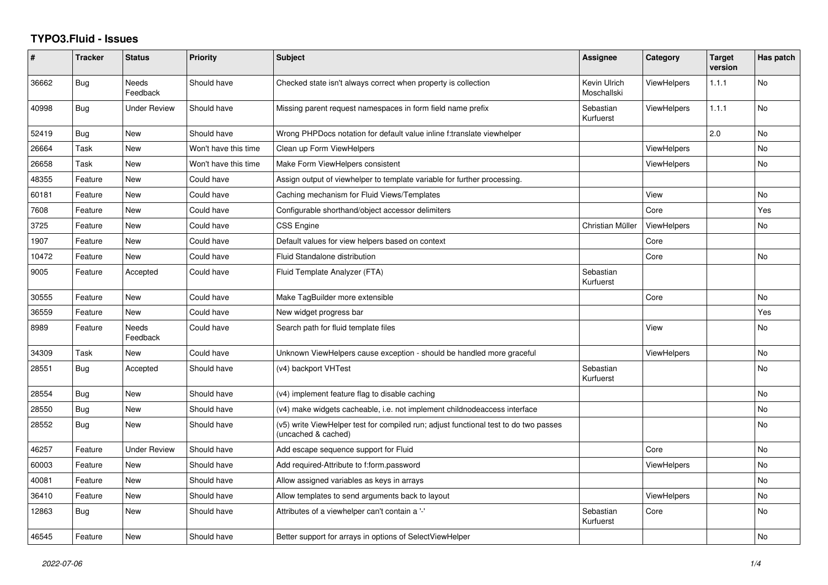## **TYPO3.Fluid - Issues**

| #     | <b>Tracker</b> | <b>Status</b>       | <b>Priority</b>      | <b>Subject</b>                                                                                              | Assignee                    | Category           | <b>Target</b><br>version | Has patch |
|-------|----------------|---------------------|----------------------|-------------------------------------------------------------------------------------------------------------|-----------------------------|--------------------|--------------------------|-----------|
| 36662 | Bug            | Needs<br>Feedback   | Should have          | Checked state isn't always correct when property is collection                                              | Kevin Ulrich<br>Moschallski | <b>ViewHelpers</b> | 1.1.1                    | No        |
| 40998 | Bug            | <b>Under Review</b> | Should have          | Missing parent request namespaces in form field name prefix                                                 | Sebastian<br>Kurfuerst      | <b>ViewHelpers</b> | 1.1.1                    | <b>No</b> |
| 52419 | Bug            | New                 | Should have          | Wrong PHPDocs notation for default value inline f:translate viewhelper                                      |                             |                    | 2.0                      | <b>No</b> |
| 26664 | Task           | <b>New</b>          | Won't have this time | Clean up Form ViewHelpers                                                                                   |                             | <b>ViewHelpers</b> |                          | No.       |
| 26658 | Task           | New                 | Won't have this time | Make Form ViewHelpers consistent                                                                            |                             | <b>ViewHelpers</b> |                          | <b>No</b> |
| 48355 | Feature        | New                 | Could have           | Assign output of viewhelper to template variable for further processing.                                    |                             |                    |                          |           |
| 60181 | Feature        | New                 | Could have           | Caching mechanism for Fluid Views/Templates                                                                 |                             | View               |                          | No        |
| 7608  | Feature        | New                 | Could have           | Configurable shorthand/object accessor delimiters                                                           |                             | Core               |                          | Yes       |
| 3725  | Feature        | New                 | Could have           | <b>CSS Engine</b>                                                                                           | Christian Müller            | <b>ViewHelpers</b> |                          | No        |
| 1907  | Feature        | <b>New</b>          | Could have           | Default values for view helpers based on context                                                            |                             | Core               |                          |           |
| 10472 | Feature        | <b>New</b>          | Could have           | Fluid Standalone distribution                                                                               |                             | Core               |                          | <b>No</b> |
| 9005  | Feature        | Accepted            | Could have           | Fluid Template Analyzer (FTA)                                                                               | Sebastian<br>Kurfuerst      |                    |                          |           |
| 30555 | Feature        | <b>New</b>          | Could have           | Make TagBuilder more extensible                                                                             |                             | Core               |                          | <b>No</b> |
| 36559 | Feature        | <b>New</b>          | Could have           | New widget progress bar                                                                                     |                             |                    |                          | Yes       |
| 8989  | Feature        | Needs<br>Feedback   | Could have           | Search path for fluid template files                                                                        |                             | View               |                          | No        |
| 34309 | Task           | <b>New</b>          | Could have           | Unknown ViewHelpers cause exception - should be handled more graceful                                       |                             | ViewHelpers        |                          | <b>No</b> |
| 28551 | <b>Bug</b>     | Accepted            | Should have          | (v4) backport VHTest                                                                                        | Sebastian<br>Kurfuerst      |                    |                          | <b>No</b> |
| 28554 | <b>Bug</b>     | New                 | Should have          | (v4) implement feature flag to disable caching                                                              |                             |                    |                          | <b>No</b> |
| 28550 | Bug            | New                 | Should have          | (v4) make widgets cacheable, i.e. not implement childnodeaccess interface                                   |                             |                    |                          | No        |
| 28552 | <b>Bug</b>     | New                 | Should have          | (v5) write ViewHelper test for compiled run; adjust functional test to do two passes<br>(uncached & cached) |                             |                    |                          | <b>No</b> |
| 46257 | Feature        | <b>Under Review</b> | Should have          | Add escape sequence support for Fluid                                                                       |                             | Core               |                          | <b>No</b> |
| 60003 | Feature        | <b>New</b>          | Should have          | Add required-Attribute to f:form.password                                                                   |                             | <b>ViewHelpers</b> |                          | No        |
| 40081 | Feature        | New                 | Should have          | Allow assigned variables as keys in arrays                                                                  |                             |                    |                          | <b>No</b> |
| 36410 | Feature        | New                 | Should have          | Allow templates to send arguments back to layout                                                            |                             | <b>ViewHelpers</b> |                          | <b>No</b> |
| 12863 | Bug            | New                 | Should have          | Attributes of a viewhelper can't contain a '-'                                                              | Sebastian<br>Kurfuerst      | Core               |                          | <b>No</b> |
| 46545 | Feature        | New                 | Should have          | Better support for arrays in options of SelectViewHelper                                                    |                             |                    |                          | <b>No</b> |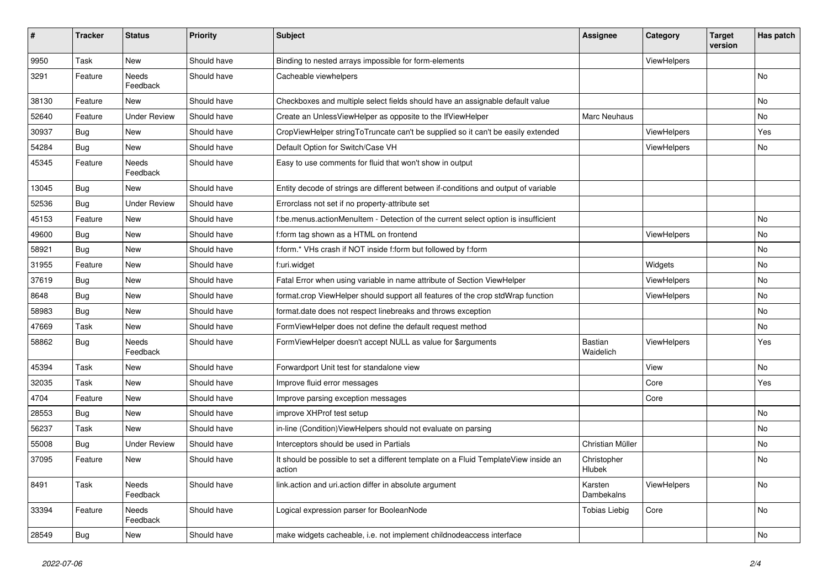| #     | <b>Tracker</b> | <b>Status</b>            | <b>Priority</b> | <b>Subject</b>                                                                                | <b>Assignee</b>       | Category    | <b>Target</b><br>version | Has patch     |
|-------|----------------|--------------------------|-----------------|-----------------------------------------------------------------------------------------------|-----------------------|-------------|--------------------------|---------------|
| 9950  | Task           | New                      | Should have     | Binding to nested arrays impossible for form-elements                                         |                       | ViewHelpers |                          |               |
| 3291  | Feature        | <b>Needs</b><br>Feedback | Should have     | Cacheable viewhelpers                                                                         |                       |             |                          | No            |
| 38130 | Feature        | <b>New</b>               | Should have     | Checkboxes and multiple select fields should have an assignable default value                 |                       |             |                          | No            |
| 52640 | Feature        | <b>Under Review</b>      | Should have     | Create an UnlessViewHelper as opposite to the IfViewHelper                                    | Marc Neuhaus          |             |                          | No            |
| 30937 | Bug            | <b>New</b>               | Should have     | CropViewHelper stringToTruncate can't be supplied so it can't be easily extended              |                       | ViewHelpers |                          | Yes           |
| 54284 | Bug            | New                      | Should have     | Default Option for Switch/Case VH                                                             |                       | ViewHelpers |                          | No            |
| 45345 | Feature        | Needs<br>Feedback        | Should have     | Easy to use comments for fluid that won't show in output                                      |                       |             |                          |               |
| 13045 | Bug            | New                      | Should have     | Entity decode of strings are different between if-conditions and output of variable           |                       |             |                          |               |
| 52536 | Bug            | <b>Under Review</b>      | Should have     | Errorclass not set if no property-attribute set                                               |                       |             |                          |               |
| 45153 | Feature        | New                      | Should have     | f:be.menus.actionMenuItem - Detection of the current select option is insufficient            |                       |             |                          | No            |
| 49600 | Bug            | New                      | Should have     | f:form tag shown as a HTML on frontend                                                        |                       | ViewHelpers |                          | No            |
| 58921 | Bug            | <b>New</b>               | Should have     | f:form.* VHs crash if NOT inside f:form but followed by f:form                                |                       |             |                          | No.           |
| 31955 | Feature        | New                      | Should have     | f:uri.widget                                                                                  |                       | Widgets     |                          | No            |
| 37619 | Bug            | New                      | Should have     | Fatal Error when using variable in name attribute of Section ViewHelper                       |                       | ViewHelpers |                          | No            |
| 8648  | Bug            | New                      | Should have     | format.crop ViewHelper should support all features of the crop stdWrap function               |                       | ViewHelpers |                          | No            |
| 58983 | <b>Bug</b>     | New                      | Should have     | format.date does not respect linebreaks and throws exception                                  |                       |             |                          | No            |
| 47669 | Task           | New                      | Should have     | FormViewHelper does not define the default request method                                     |                       |             |                          | No.           |
| 58862 | Bug            | Needs<br>Feedback        | Should have     | FormViewHelper doesn't accept NULL as value for \$arguments                                   | Bastian<br>Waidelich  | ViewHelpers |                          | Yes           |
| 45394 | Task           | New                      | Should have     | Forwardport Unit test for standalone view                                                     |                       | View        |                          | No            |
| 32035 | Task           | New                      | Should have     | Improve fluid error messages                                                                  |                       | Core        |                          | Yes           |
| 4704  | Feature        | New                      | Should have     | Improve parsing exception messages                                                            |                       | Core        |                          |               |
| 28553 | Bug            | New                      | Should have     | improve XHProf test setup                                                                     |                       |             |                          | No            |
| 56237 | Task           | <b>New</b>               | Should have     | in-line (Condition) View Helpers should not evaluate on parsing                               |                       |             |                          | No            |
| 55008 | <b>Bug</b>     | <b>Under Review</b>      | Should have     | Interceptors should be used in Partials                                                       | Christian Müller      |             |                          | No            |
| 37095 | Feature        | New                      | Should have     | It should be possible to set a different template on a Fluid TemplateView inside an<br>action | Christopher<br>Hlubek |             |                          | No            |
| 8491  | Task           | Needs<br>Feedback        | Should have     | link.action and uri.action differ in absolute argument                                        | Karsten<br>Dambekalns | ViewHelpers |                          | $\mathsf{No}$ |
| 33394 | Feature        | Needs<br>Feedback        | Should have     | Logical expression parser for BooleanNode                                                     | <b>Tobias Liebig</b>  | Core        |                          | No            |
| 28549 | Bug            | New                      | Should have     | make widgets cacheable, i.e. not implement childnodeaccess interface                          |                       |             |                          | No            |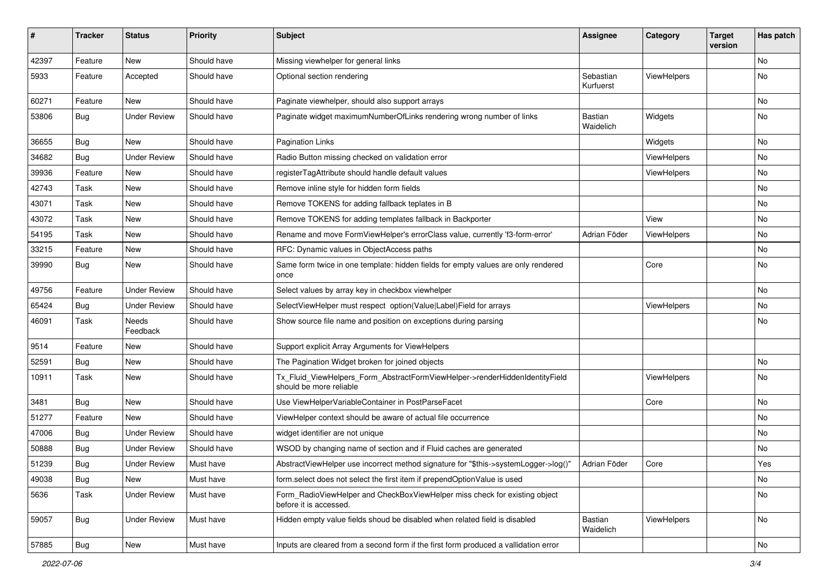| #     | <b>Tracker</b> | <b>Status</b>       | <b>Priority</b> | <b>Subject</b>                                                                                         | <b>Assignee</b>        | Category    | <b>Target</b><br>version | Has patch |
|-------|----------------|---------------------|-----------------|--------------------------------------------------------------------------------------------------------|------------------------|-------------|--------------------------|-----------|
| 42397 | Feature        | New                 | Should have     | Missing viewhelper for general links                                                                   |                        |             |                          | <b>No</b> |
| 5933  | Feature        | Accepted            | Should have     | Optional section rendering                                                                             | Sebastian<br>Kurfuerst | ViewHelpers |                          | No        |
| 60271 | Feature        | <b>New</b>          | Should have     | Paginate viewhelper, should also support arrays                                                        |                        |             |                          | No        |
| 53806 | Bug            | <b>Under Review</b> | Should have     | Paginate widget maximumNumberOfLinks rendering wrong number of links                                   | Bastian<br>Waidelich   | Widgets     |                          | <b>No</b> |
| 36655 | Bug            | New                 | Should have     | <b>Pagination Links</b>                                                                                |                        | Widgets     |                          | <b>No</b> |
| 34682 | Bug            | <b>Under Review</b> | Should have     | Radio Button missing checked on validation error                                                       |                        | ViewHelpers |                          | No        |
| 39936 | Feature        | <b>New</b>          | Should have     | registerTagAttribute should handle default values                                                      |                        | ViewHelpers |                          | No        |
| 42743 | Task           | New                 | Should have     | Remove inline style for hidden form fields                                                             |                        |             |                          | No        |
| 43071 | Task           | New                 | Should have     | Remove TOKENS for adding fallback teplates in B                                                        |                        |             |                          | <b>No</b> |
| 43072 | Task           | New                 | Should have     | Remove TOKENS for adding templates fallback in Backporter                                              |                        | View        |                          | No        |
| 54195 | Task           | New                 | Should have     | Rename and move FormViewHelper's errorClass value, currently 'f3-form-error'                           | Adrian Föder           | ViewHelpers |                          | No        |
| 33215 | Feature        | New                 | Should have     | RFC: Dynamic values in ObjectAccess paths                                                              |                        |             |                          | No        |
| 39990 | Bug            | New                 | Should have     | Same form twice in one template: hidden fields for empty values are only rendered<br>once              |                        | Core        |                          | No        |
| 49756 | Feature        | <b>Under Review</b> | Should have     | Select values by array key in checkbox viewhelper                                                      |                        |             |                          | No        |
| 65424 | Bug            | <b>Under Review</b> | Should have     | SelectViewHelper must respect option(Value Label)Field for arrays                                      |                        | ViewHelpers |                          | No        |
| 46091 | Task           | Needs<br>Feedback   | Should have     | Show source file name and position on exceptions during parsing                                        |                        |             |                          | No        |
| 9514  | Feature        | New                 | Should have     | Support explicit Array Arguments for ViewHelpers                                                       |                        |             |                          |           |
| 52591 | Bug            | New                 | Should have     | The Pagination Widget broken for joined objects                                                        |                        |             |                          | No        |
| 10911 | Task           | New                 | Should have     | Tx_Fluid_ViewHelpers_Form_AbstractFormViewHelper->renderHiddenIdentityField<br>should be more reliable |                        | ViewHelpers |                          | No        |
| 3481  | Bug            | <b>New</b>          | Should have     | Use ViewHelperVariableContainer in PostParseFacet                                                      |                        | Core        |                          | No        |
| 51277 | Feature        | <b>New</b>          | Should have     | ViewHelper context should be aware of actual file occurrence                                           |                        |             |                          | No        |
| 47006 | <b>Bug</b>     | <b>Under Review</b> | Should have     | widget identifier are not unique                                                                       |                        |             |                          | <b>No</b> |
| 50888 | Bug            | Under Review        | Should have     | WSOD by changing name of section and if Fluid caches are generated                                     |                        |             |                          | No        |
| 51239 | <b>Bug</b>     | Under Review        | Must have       | AbstractViewHelper use incorrect method signature for "\$this->systemLogger->log()"                    | Adrian Föder           | Core        |                          | Yes       |
| 49038 | <b>Bug</b>     | New                 | Must have       | form.select does not select the first item if prependOptionValue is used                               |                        |             |                          | No        |
| 5636  | Task           | <b>Under Review</b> | Must have       | Form_RadioViewHelper and CheckBoxViewHelper miss check for existing object<br>before it is accessed.   |                        |             |                          | No        |
| 59057 | <b>Bug</b>     | <b>Under Review</b> | Must have       | Hidden empty value fields shoud be disabled when related field is disabled                             | Bastian<br>Waidelich   | ViewHelpers |                          | No        |
| 57885 | Bug            | New                 | Must have       | Inputs are cleared from a second form if the first form produced a vallidation error                   |                        |             |                          | No        |